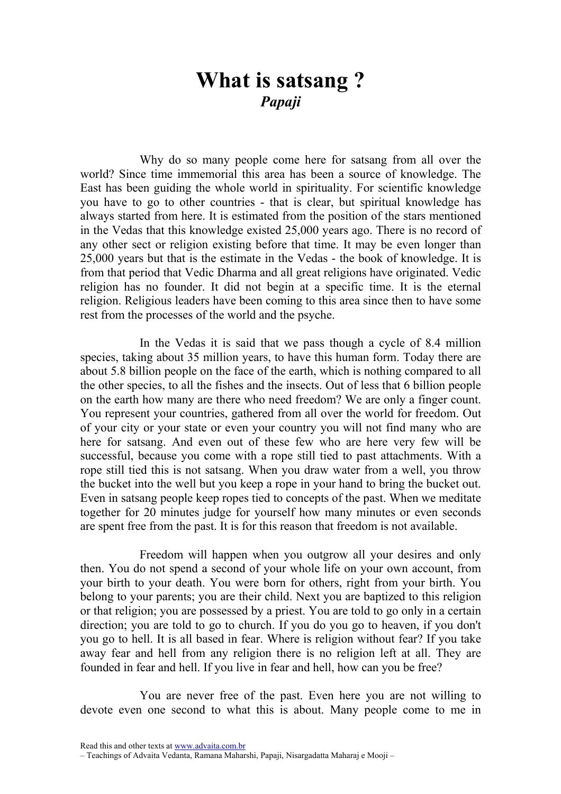## What is satsang ? Papaji

Why do so many people come here for satsang from all over the world? Since time immemorial this area has been a source of knowledge. The East has been guiding the whole world in spirituality. For scientific knowledge you have to go to other countries - that is clear, but spiritual knowledge has always started from here. It is estimated from the position of the stars mentioned in the Vedas that this knowledge existed 25,000 years ago. There is no record of any other sect or religion existing before that time. It may be even longer than 25,000 years but that is the estimate in the Vedas - the book of knowledge. It is from that period that Vedic Dharma and all great religions have originated. Vedic religion has no founder. It did not begin at a specific time. It is the eternal religion. Religious leaders have been coming to this area since then to have some rest from the processes of the world and the psyche.

In the Vedas it is said that we pass though a cycle of 8.4 million species, taking about 35 million years, to have this human form. Today there are about 5.8 billion people on the face of the earth, which is nothing compared to all the other species, to all the fishes and the insects. Out of less that 6 billion people on the earth how many are there who need freedom? We are only a finger count. You represent your countries, gathered from all over the world for freedom. Out of your city or your state or even your country you will not find many who are here for satsang. And even out of these few who are here very few will be successful, because you come with a rope still tied to past attachments. With a rope still tied this is not satsang. When you draw water from a well, you throw the bucket into the well but you keep a rope in your hand to bring the bucket out. Even in satsang people keep ropes tied to concepts of the past. When we meditate together for 20 minutes judge for yourself how many minutes or even seconds are spent free from the past. It is for this reason that freedom is not available.

Freedom will happen when you outgrow all your desires and only then. You do not spend a second of your whole life on your own account, from your birth to your death. You were born for others, right from your birth. You belong to your parents; you are their child. Next you are baptized to this religion or that religion; you are possessed by a priest. You are told to go only in a certain direction; you are told to go to church. If you do you go to heaven, if you don't you go to hell. It is all based in fear. Where is religion without fear? If you take away fear and hell from any religion there is no religion left at all. They are founded in fear and hell. If you live in fear and hell, how can you be free?

You are never free of the past. Even here you are not willing to devote even one second to what this is about. Many people come to me in

Read this and other texts at www.advaita.com.br

<sup>–</sup> Teachings of Advaita Vedanta, Ramana Maharshi, Papaji, Nisargadatta Maharaj e Mooji –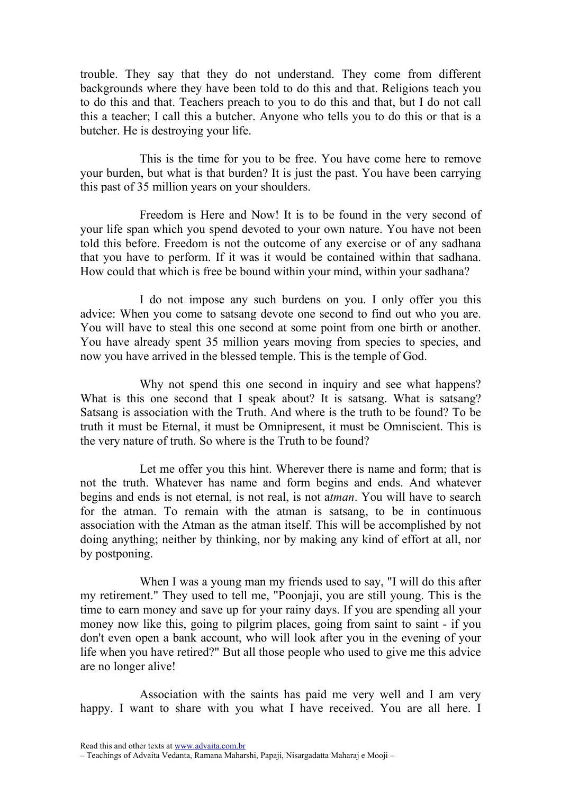trouble. They say that they do not understand. They come from different backgrounds where they have been told to do this and that. Religions teach you to do this and that. Teachers preach to you to do this and that, but I do not call this a teacher; I call this a butcher. Anyone who tells you to do this or that is a butcher. He is destroying your life.

This is the time for you to be free. You have come here to remove your burden, but what is that burden? It is just the past. You have been carrying this past of 35 million years on your shoulders.

Freedom is Here and Now! It is to be found in the very second of your life span which you spend devoted to your own nature. You have not been told this before. Freedom is not the outcome of any exercise or of any sadhana that you have to perform. If it was it would be contained within that sadhana. How could that which is free be bound within your mind, within your sadhana?

I do not impose any such burdens on you. I only offer you this advice: When you come to satsang devote one second to find out who you are. You will have to steal this one second at some point from one birth or another. You have already spent 35 million years moving from species to species, and now you have arrived in the blessed temple. This is the temple of God.

Why not spend this one second in inquiry and see what happens? What is this one second that I speak about? It is satsang. What is satsang? Satsang is association with the Truth. And where is the truth to be found? To be truth it must be Eternal, it must be Omnipresent, it must be Omniscient. This is the very nature of truth. So where is the Truth to be found?

Let me offer you this hint. Wherever there is name and form; that is not the truth. Whatever has name and form begins and ends. And whatever begins and ends is not eternal, is not real, is not atman. You will have to search for the atman. To remain with the atman is satsang, to be in continuous association with the Atman as the atman itself. This will be accomplished by not doing anything; neither by thinking, nor by making any kind of effort at all, nor by postponing.

When I was a young man my friends used to say, "I will do this after my retirement." They used to tell me, "Poonjaji, you are still young. This is the time to earn money and save up for your rainy days. If you are spending all your money now like this, going to pilgrim places, going from saint to saint - if you don't even open a bank account, who will look after you in the evening of your life when you have retired?" But all those people who used to give me this advice are no longer alive!

Association with the saints has paid me very well and I am very happy. I want to share with you what I have received. You are all here. I

<sup>–</sup> Teachings of Advaita Vedanta, Ramana Maharshi, Papaji, Nisargadatta Maharaj e Mooji –